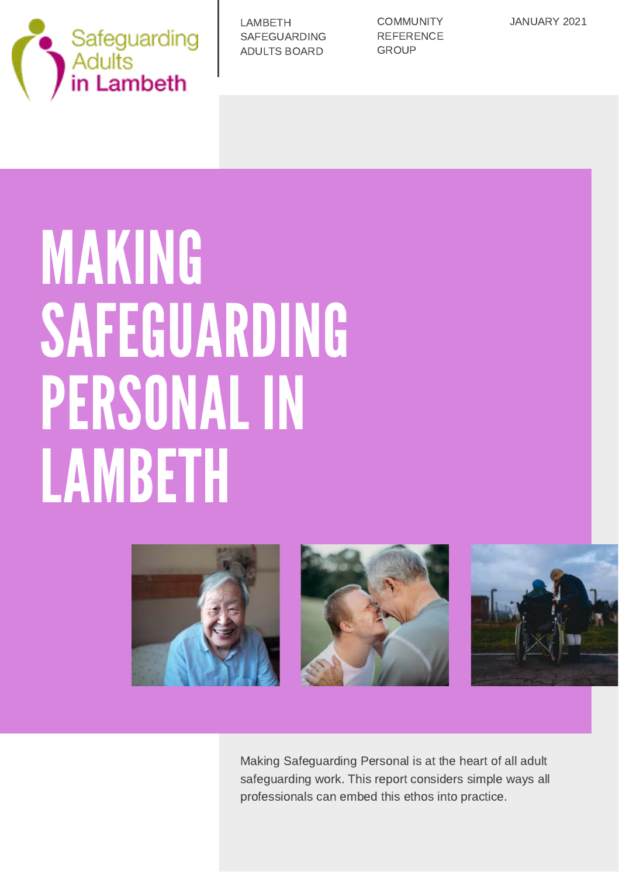

| LAMBETH      |
|--------------|
| SAFEGUARDING |
| ADULTS BOARD |

**COMMUNITY REFERENCE GROUP** 

JANUARY 2021

# MAKING SAFEGUARDING PERSONAL IN LAMBETH







Making Safeguarding Personal is at the heart of all adult safeguarding work. This report considers simple ways all professionals can embed this ethos into practice.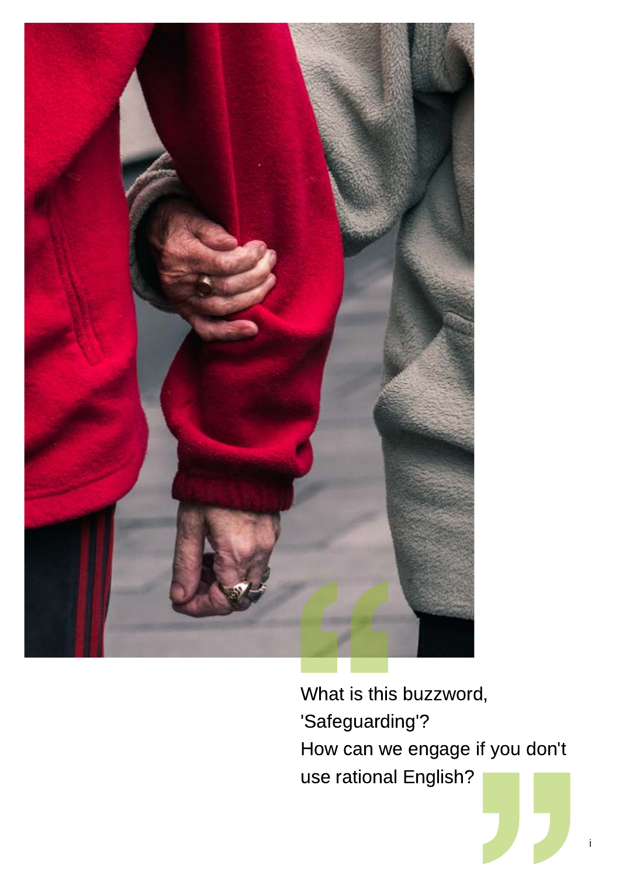

What is this buzzword, 'Safeguarding'? How can we engage if you don't use rational English?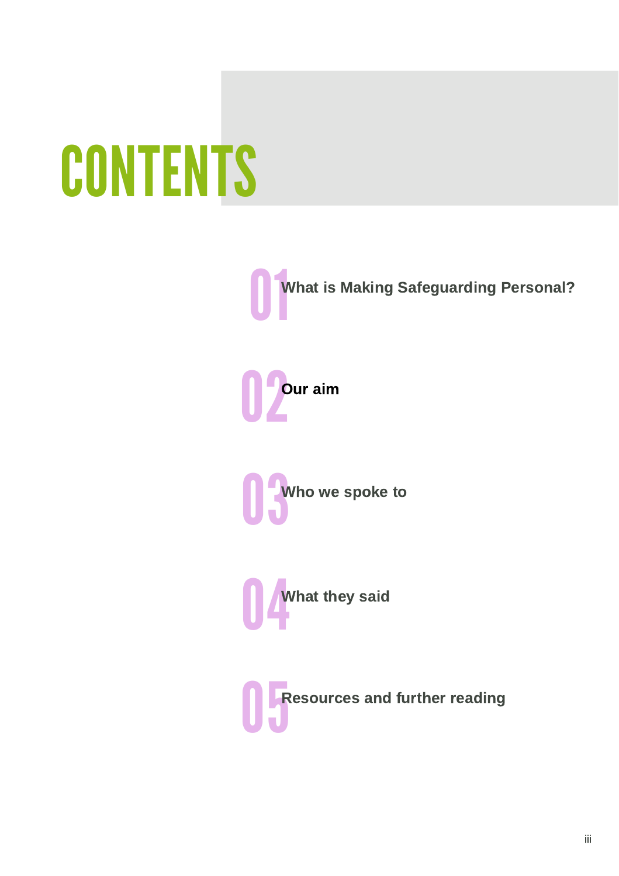# **CONTENTS**

**ON**<br>What is Making Safeguarding Personal?







**CONFIDENT**<br>Resources and further reading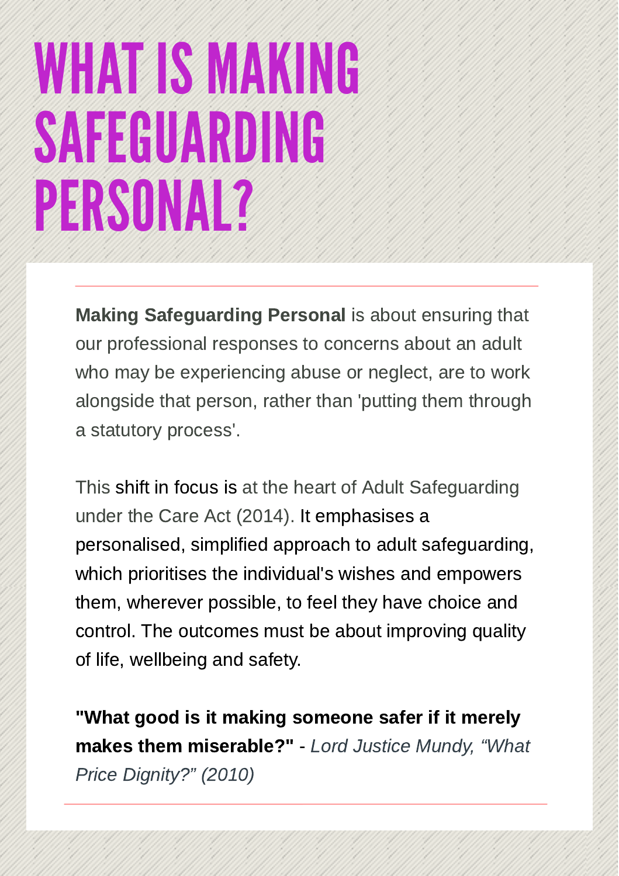### WHAT IS MAKING SAFEGUARDING PERSONAL?

Making Safeguarding Personal is about ensuring that our professional responses to concerns about an adult who may be experiencing abuse or neglect, are to work alongside that person, rather than 'putting them through a statutory process'.

This shift in focus is at the heart of Adult Safeguarding under the Care Act (2014). It emphasises a personalised, simplified approach to adult safeguarding, which prioritises the individual's wishes and empowers them, wherever possible, to feel they have choice and control. The outcomes must be about improving quality of life, wellbeing and safety.

"What good is it making someone safer if it merely makes them miserable?" - Lord Justice Mundy, "What Price Dignity?" (2010)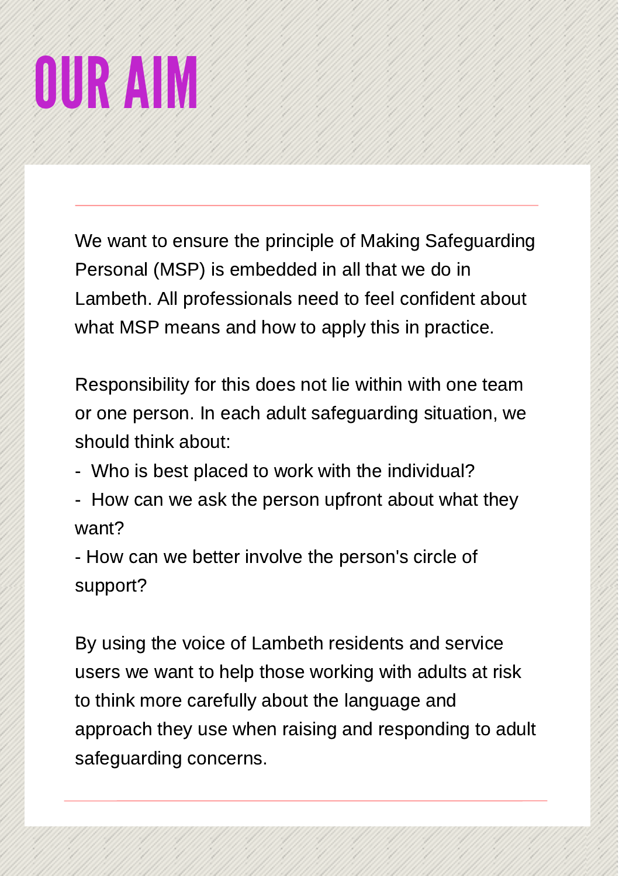# OUR AIM

We want to ensure the principle of Making Safeguarding Personal (MSP) is embedded in all that we do in Lambeth. All professionals need to feel confident about what MSP means and how to apply this in practice.

Responsibility for this does not lie within with one team or one person. In each adult safeguarding situation, we should think about:

- Who is best placed to work with the individual?
- How can we ask the person upfront about what they want?

- How can we better involve the person's circle of support?

By using the voice of Lambeth residents and service users we want to help those working with adults at risk to think more carefully about the language and approach they use when raising and responding to adult safeguarding concerns.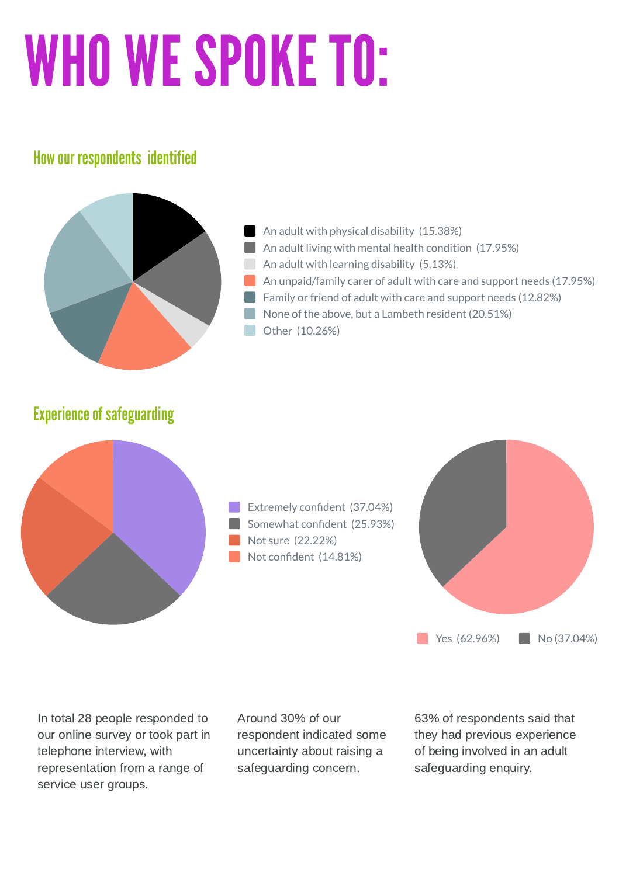# WHO WE SPOKE TO:

#### How our respondents identified



#### Experience of safeguarding



Extremely confident (37.04%) Somewhat confident (25.93%) Not sure (22.22%) Not confident (14.81%)



In total 28 people responded to our online survey or took part in telephone interview, with representation from a range of service user groups.

Around 30% of our respondent indicated some uncertainty about raising a safeguarding concern.

63% of respondents said that they had previous experience of being involved in an adult safeguarding enquiry.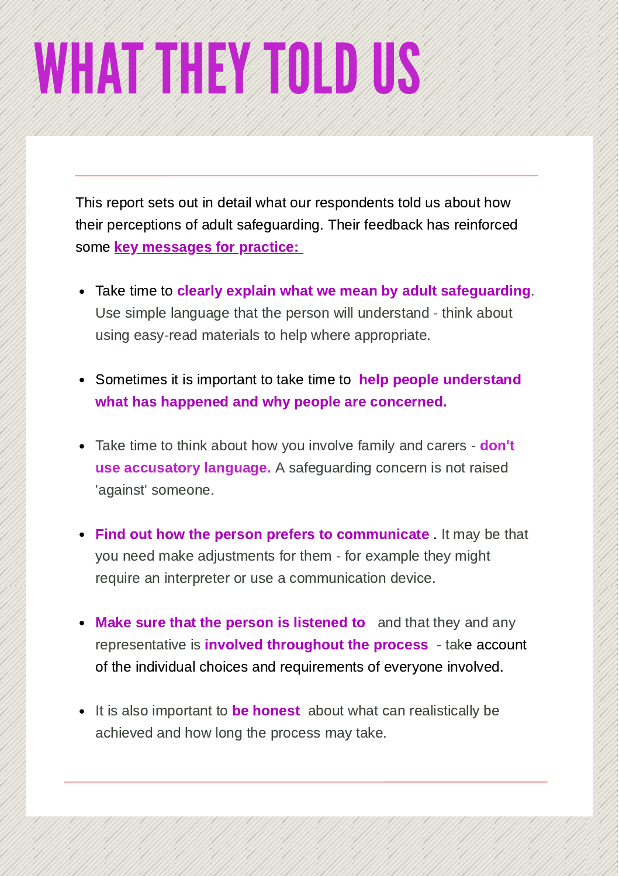## WHAT THEY TOLD US

This report sets out in detail what our respondents told us about how their perceptions of adult safeguarding. Their feedback has reinforced some **key messages for practice:** 

- Take time to clearly explain what we mean by adult safeguarding. Use simple language that the person will understand - think about using easy-read materials to help where appropriate.
- Sometimes it is important to take time to help people understand what has happened and why people are concerned.
- Take time to think about how you involve family and carers don't use accusatory language. A safeguarding concern is not raised 'against' someone.
- **Find out how the person prefers to communicate** It may be that you need make adjustments for them - for example they might require an interpreter or use a communication device.
- Make sure that the person is listened to and that they and any representative is **involved throughout the process** - take account of the individual choices and requirements of everyone involved.
- It is also important to be honest about what can realistically be achieved and how long the process may take.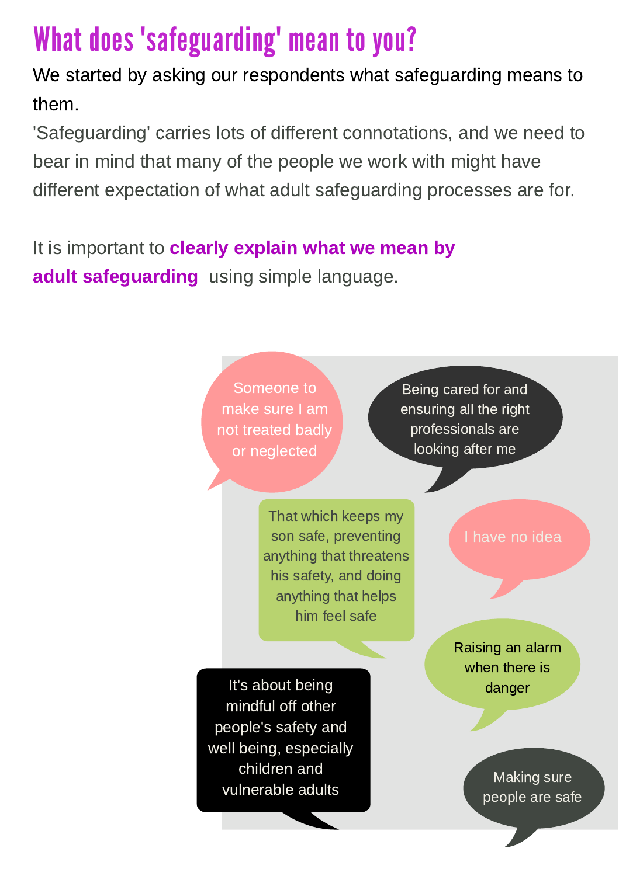### What does "safeguarding" mean to you?

We started by asking our respondents what safeguarding means to them.

'Safeguarding' carries lots of different connotations, and we need to bear in mind that many of the people we work with might have different expectation of what adult safeguarding processes are for.

It is important to **clearly explain what we mean by** adult safeguarding using simple language.

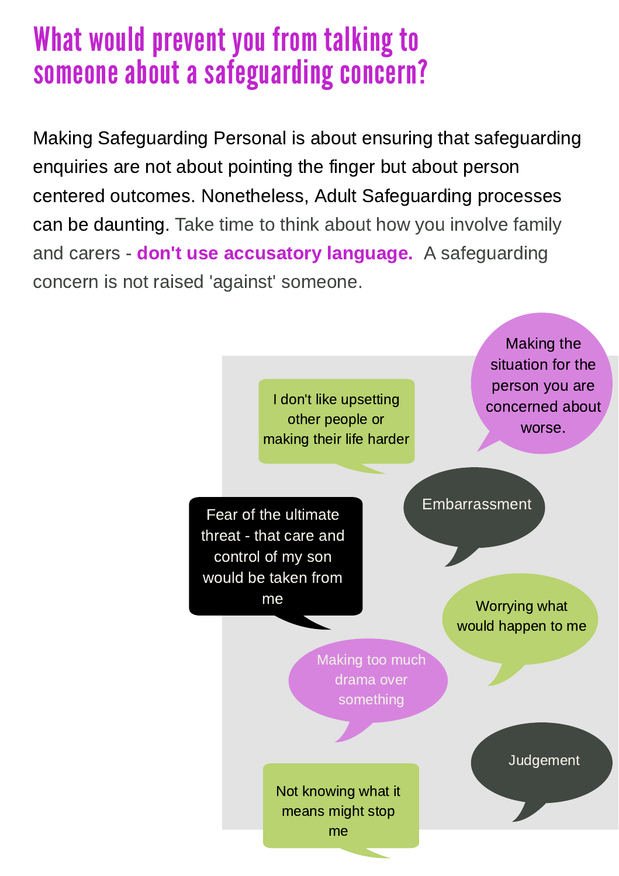### What would prevent you from talking to someone about a safeguarding concern?

Making Safeguarding Personal is about ensuring that safeguarding enquiries are not about pointing the finger but about person centered outcomes. Nonetheless, Adult Safeguarding processes can be daunting. Take time to think about how you involve family and carers - **don't use accusatory language.** A safeguarding concern is not raised 'against' someone.

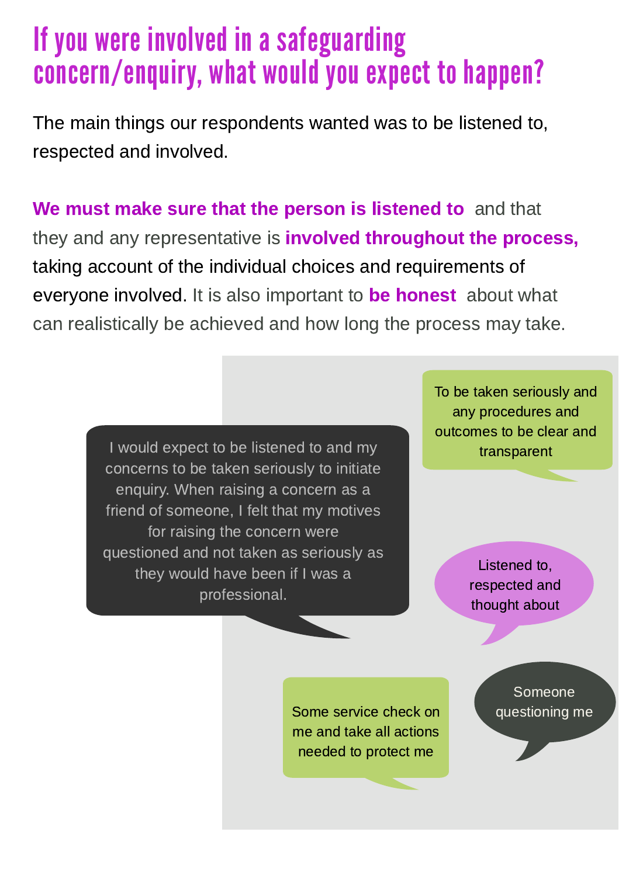### If you were involved in a safeguarding concern/enquiry, what would you expect to happen?

The main things our respondents wanted was to be listened to, respected and involved.

We must make sure that the person is listened to and that they and any representative is **involved throughout the process**, taking account of the individual choices and requirements of everyone involved. It is also important to be honest about what can realistically be achieved and how long the process may take.

> I would expect to be listened to and my concerns to be taken seriously to initiate enquiry. When raising a concern as a friend of someone, I felt that my motives for raising the concern were questioned and not taken as seriously as they would have been if I was a professional.

To be taken seriously and any procedures and outcomes to be clear and transparent

> Listened to, respected and thought about

Some service check on **questioning me** me and take all actions needed to protect me

Someone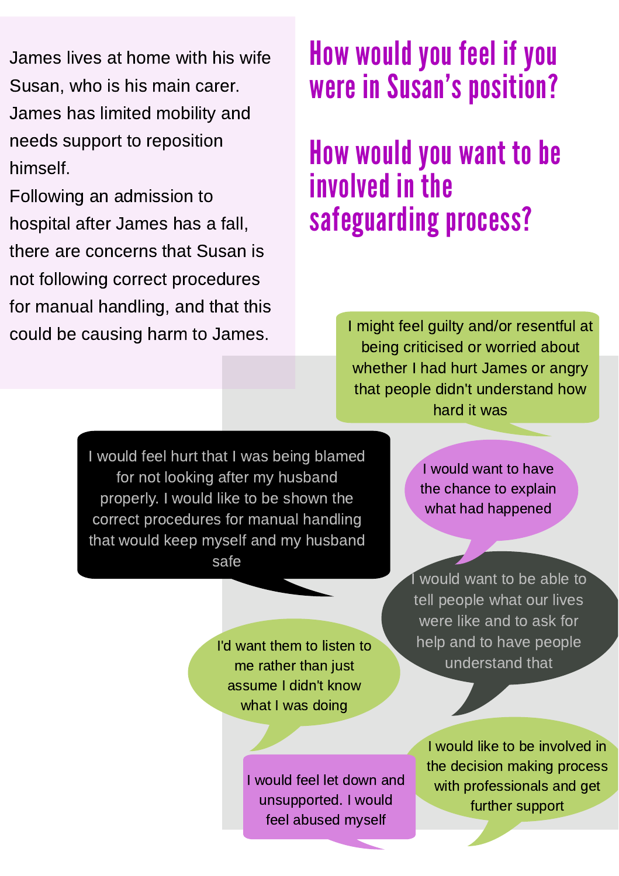James lives at home with his wife Susan, who is his main carer. James has limited mobility and needs support to reposition himself.

Following an admission to hospital after James has a fall, there are concerns that Susan is not following correct procedures for manual handling, and that this could be causing harm to James.

### How would you feel if you were in Susan's position?

### How would you want to be involved in the safeguarding process?

I might feel guilty and/or resentful at being criticised or worried about whether I had hurt James or angry that people didn't understand how hard it was

I would feel hurt that I was being blamed for not looking after my husband properly. I would like to be shown the correct procedures for manual handling that would keep myself and my husband safe

> I'd want them to listen to me rather than just assume I didn't know what I was doing

> > I would feel let down and unsupported. I would feel abused myself

I would want to have the chance to explain what had happened

would want to be able to tell people what our lives were like and to ask for help and to have people understand that

I would like to be involved in the decision making process with professionals and get further support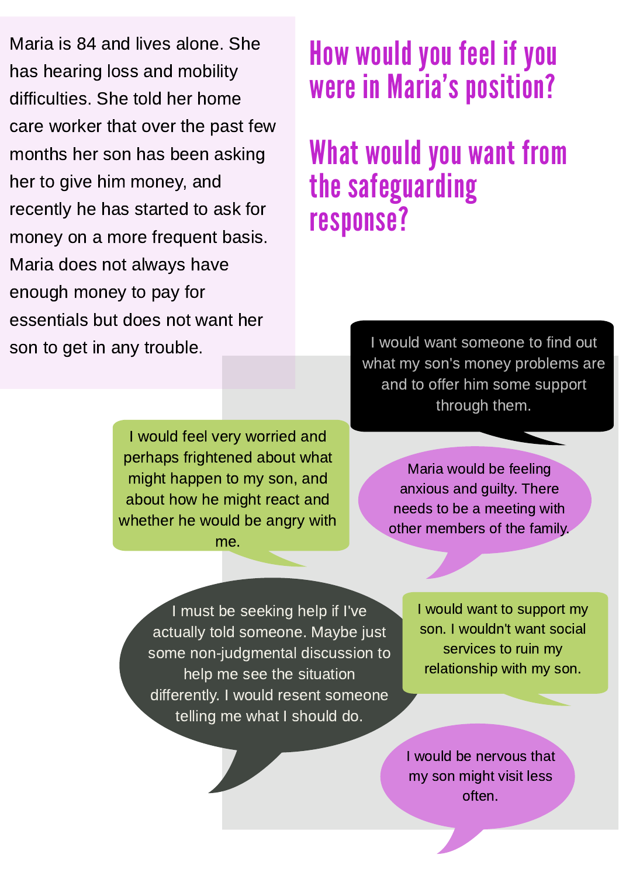Maria is 84 and lives alone. She has hearing loss and mobility difficulties. She told her home care worker that over the past few months her son has been asking her to give him money, and recently he has started to ask for money on a more frequent basis. Maria does not always have enough money to pay for essentials but does not want her son to get in any trouble.

#### How would you feel if you were in Maria's position?

### What would you want from the safeguarding response?

I would want someone to find out what my son's money problems are and to offer him some support through them.

I would feel very worried and perhaps frightened about what might happen to my son, and about how he might react and whether he would be angry with me.

Maria would be feeling anxious and guilty. There needs to be a meeting with other members of the family.

I must be seeking help if I've actually told someone. Maybe just some non-judgmental discussion to help me see the situation differently. I would resent someone telling me what I should do.

I would want to support my son. I wouldn't want social services to ruin my relationship with my son.

I would be nervous that my son might visit less often.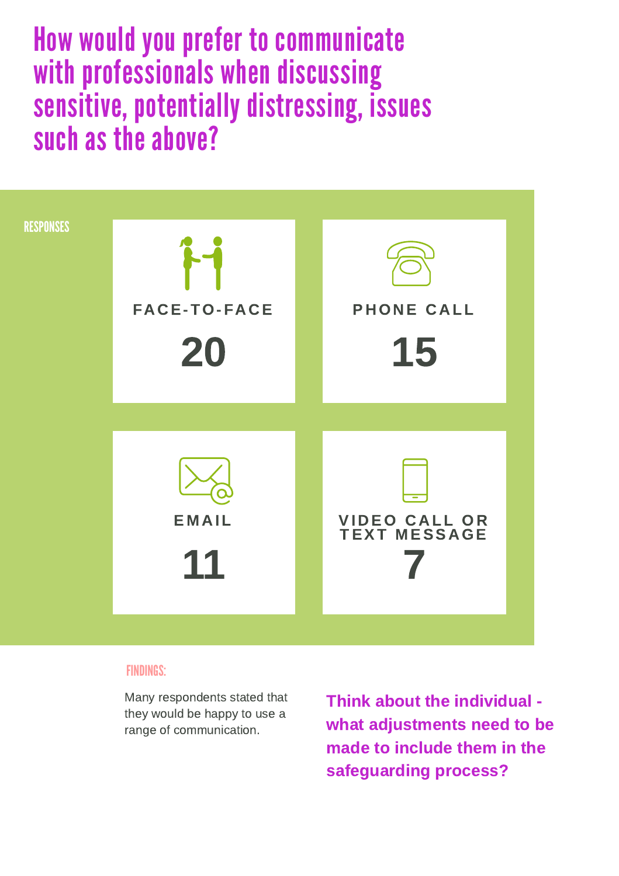How would you prefer to communicate with professionals when discussing sensitive, potentially distressing, issues such as the above?



#### FINDINGS:

Many respondents stated that they would be happy to use a range of communication.

Think about the individual what adjustments need to be made to include them in the safeguarding process?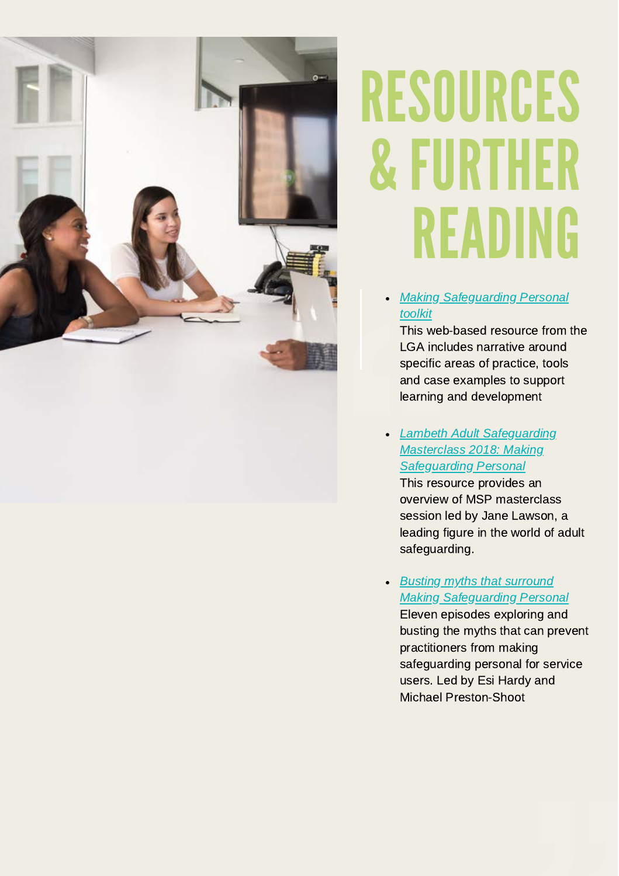

## RESOURCES & FURTHER READING

[Making Safeguarding Personal](https://www.local.gov.uk/msp-toolkit) toolkit

[This web-based resource from the](https://www.local.gov.uk/msp-toolkit) LGA includes narrative around specific areas of practice, tools and case examples to support learning and development

• [Lambeth Adult Safeguarding](https://www.lambethsab.org.uk/sites/default/files/2019-07/201922%20Lambeth%20Safeguarding%20Adults%20report%20FINAL%20WEB.PDF) Masterclass 2018: Making Safeguarding Personal

This resource provides an overview of MSP masterclass session led by Jane Lawson, a leading figure in the world of adult safeguarding.

Busting myths that surround [Making Safeguarding Personal](https://soundcloud.com/rip-ripfa/sets/busting-myths-that-surround-making-safeguarding-personal/s-4nukW) Eleven episodes exploring and busting the myths that can prevent practitioners from making safeguarding personal for service users. Led by Esi Hardy and Michael Preston-Shoot